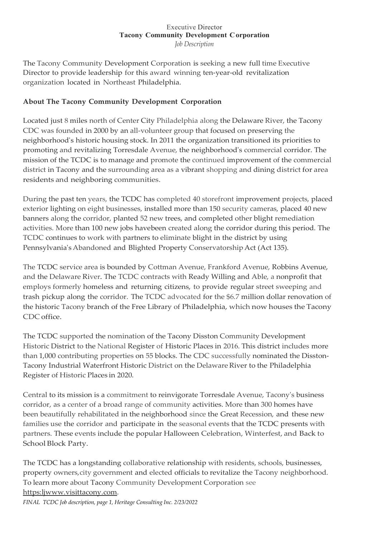#### Executive Director **Tacony Community Development Corporation** *Job Description*

The Tacony Community Development Corporation is seeking a new full time Executive Director to provide leadership for this award winning ten-year-old revitalization organization located in Northeast Philadelphia.

### **About The Tacony Community Development Corporation**

Located just 8 miles north of Center City Philadelphia along the Delaware River, the Tacony CDC was founded in 2000 by an all-volunteer group that focused on preserving the neighborhood's historic housing stock. In 2011 the organization transitioned its priorities to promoting and revitalizing Torresdale Avenue, the neighborhood's commercial corridor. The mission of the TCDC is to manage and promote the continued improvement of the commercial district in Tacony and the surrounding area as a vibrant shopping and dining district for area residents and neighboring communities.

During the past ten years, the TCDC has completed 40 storefront improvement projects, placed exterior lighting on eight businesses, installed more than 150 security cameras, placed 40 new banners along the corridor, planted 52 new trees, and completed other blight remediation activities. More than 100 new jobs havebeen created along the corridor during this period. The TCDC continues to work with partners to eliminate blight in the district by using Pennsylvania's Abandoned and Blighted Property Conservatorship Act (Act 135).

The TCDC service area is bounded by Cottman Avenue, Frankford Avenue, Robbins Avenue, and the Delaware River. The TCDC contracts with Ready Willing and Able, a nonprofit that employs formerly homeless and returning citizens, to provide regular street sweeping and trash pickup along the corridor. The TCDC advocated for the \$6.7 million dollar renovation of the historic Tacony branch of the Free Library of Philadelphia, which now houses the Tacony CDC office.

The TCDC supported the nomination of the Tacony Disston Community Development Historic District to the National Register of Historic Places in 2016. This district includes more than 1,000 contributing properties on 55 blocks. The CDC successfully nominated the Disston-Tacony Industrial Waterfront Historic District on the Delaware River to the Philadelphia Register of Historic Places in 2020.

Central to its mission is a commitment to reinvigorate Torresdale Avenue, Tacony's business corridor, as a center of a broad range of community activities. More than 300 homes have been beautifully rehabilitated in the neighborhood since the Great Recession, and these new families use the corridor and participate in the seasonal events that the TCDC presents with partners. These events include the popular Halloween Celebration, Winterfest, and Back to School Block Party.

The TCDC has a longstanding collaborative relationship with residents, schools, businesses, property owners,city government and elected officials to revitalize the Tacony neighborhood. To learn more about Tacony Community Development Corporation see [https:ljwww.visittacony.com.](http://www.visittacony.com/)

*FINAL TCDC Job description, page 1, Heritage Consulting Inc. 2/23/2022*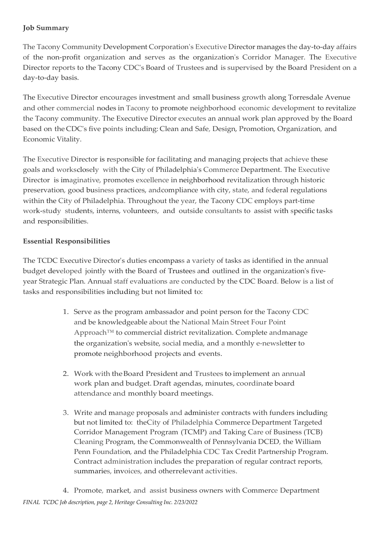### **Job Summary**

The Tacony Community Development Corporation's Executive Director manages the day-to-day affairs of the non-profit organization and serves as the organization's Corridor Manager. The Executive Director reports to the Tacony CDC's Board of Trustees and is supervised by the Board President on a day-to-day basis.

The Executive Director encourages investment and small business growth along Torresdale Avenue and other commercial nodes in Tacony to promote neighborhood economic development to revitalize the Tacony community. The Executive Director executes an annual work plan approved by the Board based on the CDC's five points including: Clean and Safe, Design, Promotion, Organization, and Economic Vitality.

The Executive Director is responsible for facilitating and managing projects that achieve these goals and worksclosely with the City of Philadelphia's Commerce Department. The Executive Director is imaginative, promotes excellence in neighborhood revitalization through historic preservation, good business practices, andcompliance with city, state, and federal regulations within the City of Philadelphia. Throughout the year, the Tacony CDC employs part-time work-study students, interns, volunteers, and outside consultants to assist with specific tasks and responsibilities.

### **Essential Responsibilities**

The TCDC Executive Director's duties encompass a variety of tasks as identified in the annual budget developed jointly with the Board of Trustees and outlined in the organization's fiveyear Strategic Plan. Annual staff evaluations are conducted by the CDC Board. Below is a list of tasks and responsibilities including but not limited to:

- 1. Serve as the program ambassador and point person for the Tacony CDC and be knowledgeable about the National Main Street Four Point Approach™ to commercial district revitalization. Complete andmanage the organization's website, social media, and a monthly e-newsletter to promote neighborhood projects and events.
- 2. Work with theBoard President and Trustees to implement an annual work plan and budget. Draft agendas, minutes, coordinate board attendance and monthly board meetings.
- 3. Write and manage proposals and administer contracts with funders including but not limited to: theCity of Philadelphia Commerce Department Targeted Corridor Management Program (TCMP) and Taking Care of Business (TCB) Cleaning Program, the Commonwealth of Pennsylvania DCED, the William Penn Foundation, and the Philadelphia CDC Tax Credit Partnership Program. Contract administration includes the preparation of regular contract reports, summaries, invoices, and otherrelevant activities.
- *FINAL TCDC Job description, page 2, Heritage Consulting Inc. 2/23/2022* 4. Promote, market, and assist business owners with Commerce Department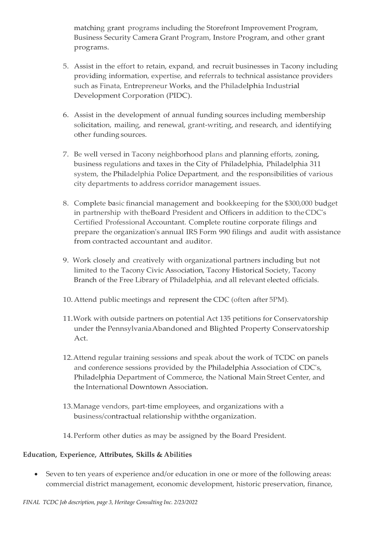matching grant programs including the Storefront Improvement Program, Business Security Camera Grant Program, Instore Program, and other grant programs.

- 5. Assist in the effort to retain, expand, and recruit businesses in Tacony including providing information, expertise, and referrals to technical assistance providers such as Finata, Entrepreneur Works, and the Philadelphia Industrial Development Corporation (PIDC).
- 6. Assist in the development of annual funding sources including membership solicitation, mailing, and renewal, grant-writing, and research, and identifying other funding sources.
- 7. Be well versed in Tacony neighborhood plans and planning efforts, zoning, business regulations and taxes in the City of Philadelphia, Philadelphia 311 system, the Philadelphia Police Department, and the responsibilities of various city departments to address corridor management issues.
- 8. Complete basic financial management and bookkeeping for the \$300,000 budget in partnership with theBoard President and Officers in addition to theCDC's Certified Professional Accountant. Complete routine corporate filings and prepare the organization's annual IRS Form 990 filings and audit with assistance from contracted accountant and auditor.
- 9. Work closely and creatively with organizational partners including but not limited to the Tacony Civic Association, Tacony Historical Society, Tacony Branch of the Free Library of Philadelphia, and all relevant elected officials.
- 10.Attend public meetings and represent the CDC (often after 5PM).
- 11.Work with outside partners on potential Act 135 petitions for Conservatorship under the Pennsylvania Abandoned and Blighted Property Conservatorship Act.
- 12.Attend regular training sessions and speak about the work of TCDC on panels and conference sessions provided by the Philadelphia Association of CDC's, Philadelphia Department of Commerce, the National Main Street Center, and the International Downtown Association.
- 13.Manage vendors, part-time employees, and organizations with a business/contractual relationship withthe organization.
- 14.Perform other duties as may be assigned by the Board President.

#### **Education, Experience, Attributes, Skills & Abilities**

• Seven to ten years of experience and/or education in one or more of the following areas: commercial district management, economic development, historic preservation, finance,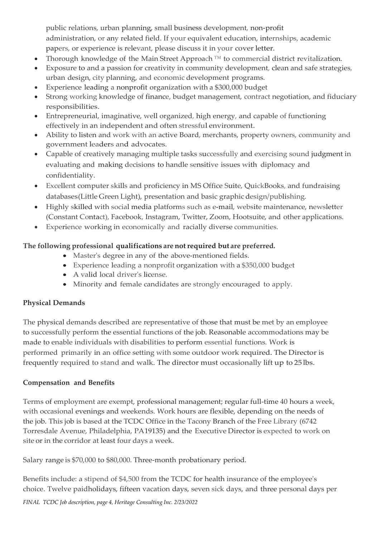public relations, urban planning, small business development, non-profit administration, or any related field. If your equivalent education, internships, academic papers, or experience is relevant, please discuss it in your cover letter.

- Thorough knowledge of the Main Street Approach ™ to commercial district revitalization.
- Exposure to and a passion for creativity in community development, clean and safe strategies, urban design, city planning, and economic development programs.
- Experience leading a nonprofit organization with a \$300,000 budget
- Strong working knowledge of finance, budget management, contract negotiation, and fiduciary responsibilities.
- Entrepreneurial, imaginative, well organized, high energy, and capable of functioning effectively in an independent and often stressful environment.
- Ability to listen and work with an active Board, merchants, property owners, community and government leaders and advocates.
- Capable of creatively managing multiple tasks successfully and exercising sound judgment in evaluating and making decisions to handle sensitive issues with diplomacy and confidentiality.
- Excellent computer skills and proficiency in MS Office Suite, QuickBooks, and fundraising databases(Little Green Light), presentation and basic graphic design/publishing.
- Highly skilled with social media platforms such as e-mail, website maintenance, newsletter (Constant Contact), Facebook, Instagram, Twitter, Zoom, Hootsuite, and other applications.
- Experience working in economically and racially diverse communities.

# **The following professional qualifications are notrequired but are preferred.**

- Master's degree in any of the above-mentioned fields.
- Experience leading a nonprofit organization with a \$350,000 budget
- A valid local driver's license.
- Minority and female candidates are strongly encouraged to apply.

### **Physical Demands**

The physical demands described are representative of those that must be met by an employee to successfully perform the essential functions of the job. Reasonable accommodations may be made to enable individuals with disabilities to perform essential functions. Work is performed primarily in an office setting with some outdoor work required. The Director is frequently required to stand and walk. The director must occasionally lift up to 25 lbs.

### **Compensation and Benefits**

Terms of employment are exempt, professional management; regular full-time 40 hours a week, with occasional evenings and weekends. Work hours are flexible, depending on the needs of the job. This job is based at the TCDC Office in the Tacony Branch of the Free Library (6742 Torresdale Avenue, Philadelphia, PA19135) and the Executive Director is expected to work on site or in the corridor at least four days a week.

Salary range is \$70,000 to \$80,000. Three-month probationary period.

Benefits include: a stipend of \$4,500 from the TCDC for health insurance of the employee's choice. Twelve paidholidays, fifteen vacation days, seven sick days, and three personal days per

*FINAL TCDC Job description, page 4, Heritage Consulting Inc. 2/23/2022*